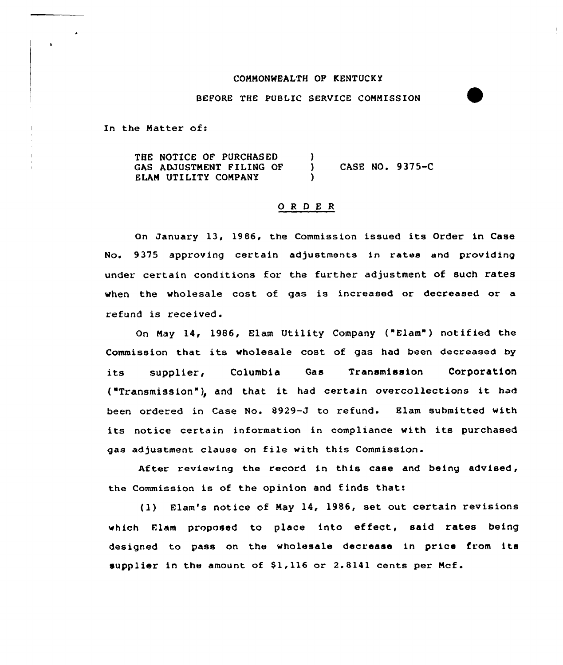## COMMONWEALTH OP KENTUCK Y

## BEFORE THE PUBLIC SERVICE COMMISSION

In the Natter of:

THE NOTICE OF PURCHASED GAS ADJUSTMENT FILING OF ELAM UTILITY COMPANY ) CASE NO. 9375-C )

## 0 <sup>R</sup> <sup>D</sup> <sup>E</sup> <sup>R</sup>

On January 13, 1986, the Commission issued its Order in Case No. 9375 approving certain adjustments in rates and providing under certain conditions for the further adjustment of such rates when the wholesale cost of gas is increased or decreased or a refund is received.

On Nay 14, 1986, Elam Utility Company ("Elam") notified the Commission that its wholesale cost of gas had been decreased by its supplier, Columbia Gas Transmission Corporatio ("Transmission"), and that it had certain overcollections it had been ordered in Case No. 8929-J to refund. Elam submitted with its notice certain information in compliance with its purchased gas adjustment clause on file with this Commission

After reviewing the record in this case and being advised, the Commission is of the opinion and finds that:

(1) Elam's notice of May l4, 1986, set out certain revisions which Elam proposed to place into effect, said rates being designed to pass on the wholesale decrease in price from its supplier in the amount of  $$1,116$  or 2.8141 cents per Mcf.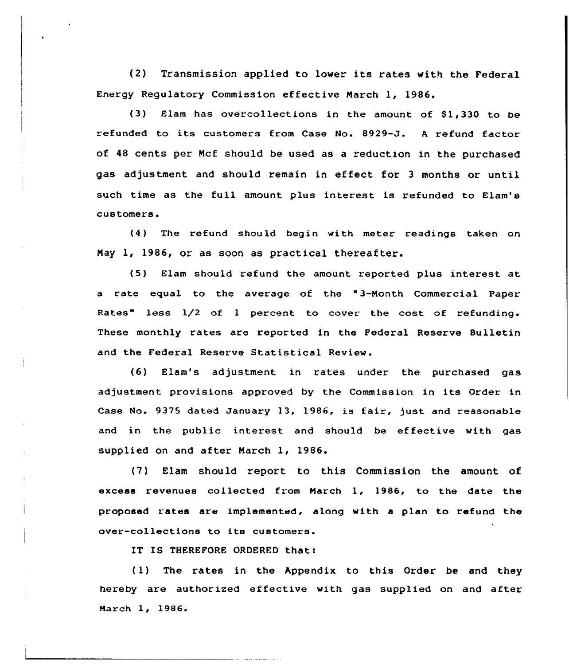{2) Transmission applied to lower its rates with the Federal Energy Regulatory Commission effective Narch 1, 1986.

 $(3)$  Elam has overcollections in the amount of \$1,330 to be refunded to its customers from Case No. 8929-J. <sup>A</sup> refund factor of 48 cents per Ncf should be used as a reduction in the purchased gas adjustment and should remain in effect for <sup>3</sup> months or until such time as the full amount plus interest is refunded to Elam's customers.

(4) The refund should begin with meter readings taken on Nay 1, 1986, or as soon as practical thereafter.

(5) Elam should refund the amount reported plus interest at. a rate equal to the average of the "3-Nonth Commercial Paper Rates" less  $1/2$  of 1 percent to cover the cost of refunding. These monthly rates are reported in the Federal Reserve Bulletin and the Federal Reserve Statistical Review.

{6) Elam's adjustment in rates under the purchased gas adjustment provisions approved by the Commission in its Order in Case No. 9375 dated January 13, 1986, is fair, just and reasonable and in the public interest and should be effective with gas supplied on and after Narch 1, 1986.

{7) Elam should report to this Commission the amount of excess revenues collected from Narch 1, 1986, to the date the proposed rates are implemented, along with a plan to refund the over-collections to its customers.

IT IS THEREFORE ORDERED that:

{1) The rates in the Appendix to this Order be and they hereby are authorised effective with gas supplied on and after Narch 1, 1986.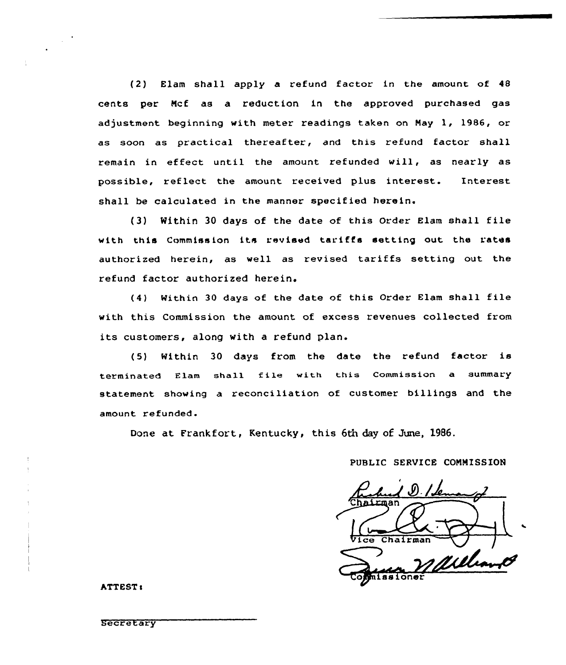(2) Elam shall apply a refund factor in the amount of 48 cents per Ncf as a reduction in the approved purchased gas adjustment beginning with meter readings taken on Hay 1, 1986, or as soon as practical thereafter, and this refund factor shall remain in effect until the amount refunded will, as nearly as possible, reflect the amount received plus interest. Interest shall be calculated in the manner specified herein.

(3) Within <sup>30</sup> days of the date of this Order Elam shall file with this Commission its revised tariffs setting out the rates authorized herein, as well as revised tariffs setting out the refund factor authorized herein.

(4) Within <sup>30</sup> days of the date of this Order Elam shall file with this Commission the amount of excess revenues collected from its customers, along with <sup>a</sup> refund plan.

(5) Within <sup>30</sup> days from the date the refund factor is terminated Elam shall file with this Commission a summary statement showing a reconciliation of customer billings and the amount refunded.

Done at Frankfort, Kentucky, this 6th day of June, 1986.

# PUBLIC SERVICE COMMISSION

Rubel D. Idemand Vice Chairman missioner

**ATTEST:** 

**Secretary**